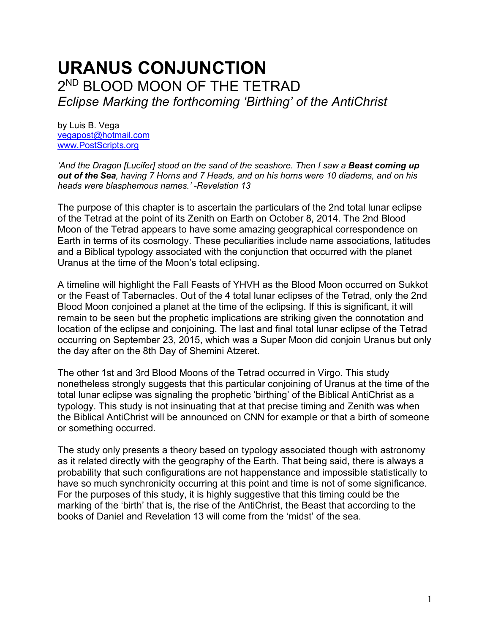# **URANUS CONJUNCTION** 2 ND BLOOD MOON OF THE TETRAD *Eclipse Marking the forthcoming 'Birthing' of the AntiChrist*

by Luis B. Vega [vegapost@hotmail.com](mailto:vegapost@hotmail.com) [www.PostScripts.org](http://www.postscripts.org/)

*'And the Dragon [Lucifer] stood on the sand of the seashore. Then I saw a Beast coming up out of the Sea, having 7 Horns and 7 Heads, and on his horns were 10 diadems, and on his heads were blasphemous names.' -Revelation 13*

The purpose of this chapter is to ascertain the particulars of the 2nd total lunar eclipse of the Tetrad at the point of its Zenith on Earth on October 8, 2014. The 2nd Blood Moon of the Tetrad appears to have some amazing geographical correspondence on Earth in terms of its cosmology. These peculiarities include name associations, latitudes and a Biblical typology associated with the conjunction that occurred with the planet Uranus at the time of the Moon's total eclipsing.

A timeline will highlight the Fall Feasts of YHVH as the Blood Moon occurred on Sukkot or the Feast of Tabernacles. Out of the 4 total lunar eclipses of the Tetrad, only the 2nd Blood Moon conjoined a planet at the time of the eclipsing. If this is significant, it will remain to be seen but the prophetic implications are striking given the connotation and location of the eclipse and conjoining. The last and final total lunar eclipse of the Tetrad occurring on September 23, 2015, which was a Super Moon did conjoin Uranus but only the day after on the 8th Day of Shemini Atzeret.

The other 1st and 3rd Blood Moons of the Tetrad occurred in Virgo. This study nonetheless strongly suggests that this particular conjoining of Uranus at the time of the total lunar eclipse was signaling the prophetic 'birthing' of the Biblical AntiChrist as a typology. This study is not insinuating that at that precise timing and Zenith was when the Biblical AntiChrist will be announced on CNN for example or that a birth of someone or something occurred.

The study only presents a theory based on typology associated though with astronomy as it related directly with the geography of the Earth. That being said, there is always a probability that such configurations are not happenstance and impossible statistically to have so much synchronicity occurring at this point and time is not of some significance. For the purposes of this study, it is highly suggestive that this timing could be the marking of the 'birth' that is, the rise of the AntiChrist, the Beast that according to the books of Daniel and Revelation 13 will come from the 'midst' of the sea.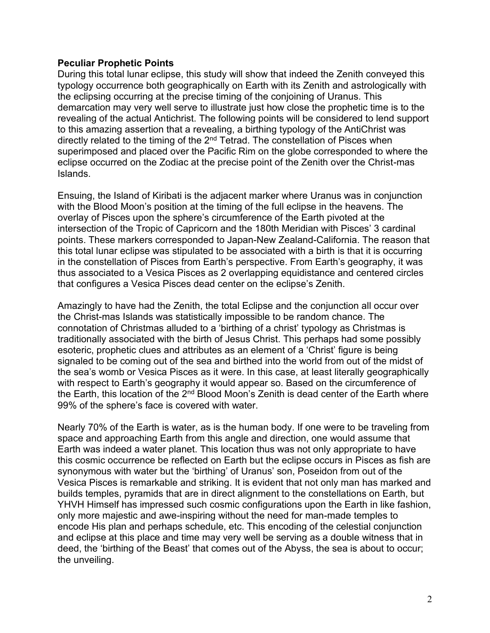## **Peculiar Prophetic Points**

During this total lunar eclipse, this study will show that indeed the Zenith conveyed this typology occurrence both geographically on Earth with its Zenith and astrologically with the eclipsing occurring at the precise timing of the conjoining of Uranus. This demarcation may very well serve to illustrate just how close the prophetic time is to the revealing of the actual Antichrist. The following points will be considered to lend support to this amazing assertion that a revealing, a birthing typology of the AntiChrist was directly related to the timing of the  $2<sup>nd</sup>$  Tetrad. The constellation of Pisces when superimposed and placed over the Pacific Rim on the globe corresponded to where the eclipse occurred on the Zodiac at the precise point of the Zenith over the Christ-mas Islands.

Ensuing, the Island of Kiribati is the adjacent marker where Uranus was in conjunction with the Blood Moon's position at the timing of the full eclipse in the heavens. The overlay of Pisces upon the sphere's circumference of the Earth pivoted at the intersection of the Tropic of Capricorn and the 180th Meridian with Pisces' 3 cardinal points. These markers corresponded to Japan-New Zealand-California. The reason that this total lunar eclipse was stipulated to be associated with a birth is that it is occurring in the constellation of Pisces from Earth's perspective. From Earth's geography, it was thus associated to a Vesica Pisces as 2 overlapping equidistance and centered circles that configures a Vesica Pisces dead center on the eclipse's Zenith.

Amazingly to have had the Zenith, the total Eclipse and the conjunction all occur over the Christ-mas Islands was statistically impossible to be random chance. The connotation of Christmas alluded to a 'birthing of a christ' typology as Christmas is traditionally associated with the birth of Jesus Christ. This perhaps had some possibly esoteric, prophetic clues and attributes as an element of a 'Christ' figure is being signaled to be coming out of the sea and birthed into the world from out of the midst of the sea's womb or Vesica Pisces as it were. In this case, at least literally geographically with respect to Earth's geography it would appear so. Based on the circumference of the Earth, this location of the  $2^{nd}$  Blood Moon's Zenith is dead center of the Earth where 99% of the sphere's face is covered with water.

Nearly 70% of the Earth is water, as is the human body. If one were to be traveling from space and approaching Earth from this angle and direction, one would assume that Earth was indeed a water planet. This location thus was not only appropriate to have this cosmic occurrence be reflected on Earth but the eclipse occurs in Pisces as fish are synonymous with water but the 'birthing' of Uranus' son, Poseidon from out of the Vesica Pisces is remarkable and striking. It is evident that not only man has marked and builds temples, pyramids that are in direct alignment to the constellations on Earth, but YHVH Himself has impressed such cosmic configurations upon the Earth in like fashion, only more majestic and awe-inspiring without the need for man-made temples to encode His plan and perhaps schedule, etc. This encoding of the celestial conjunction and eclipse at this place and time may very well be serving as a double witness that in deed, the 'birthing of the Beast' that comes out of the Abyss, the sea is about to occur; the unveiling.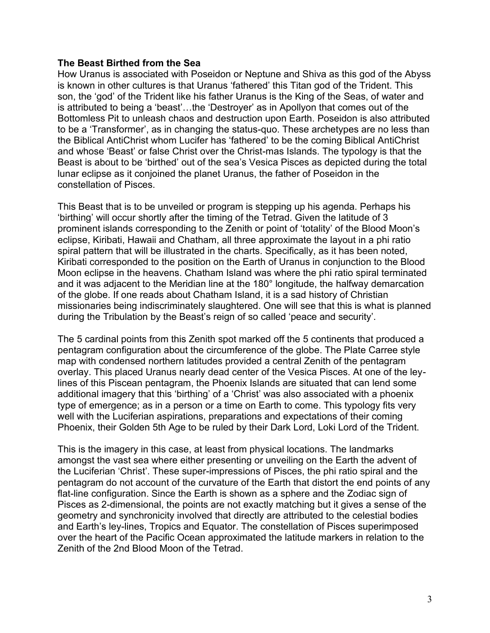## **The Beast Birthed from the Sea**

How Uranus is associated with Poseidon or Neptune and Shiva as this god of the Abyss is known in other cultures is that Uranus 'fathered' this Titan god of the Trident. This son, the 'god' of the Trident like his father Uranus is the King of the Seas, of water and is attributed to being a 'beast'…the 'Destroyer' as in Apollyon that comes out of the Bottomless Pit to unleash chaos and destruction upon Earth. Poseidon is also attributed to be a 'Transformer', as in changing the status-quo. These archetypes are no less than the Biblical AntiChrist whom Lucifer has 'fathered' to be the coming Biblical AntiChrist and whose 'Beast' or false Christ over the Christ-mas Islands. The typology is that the Beast is about to be 'birthed' out of the sea's Vesica Pisces as depicted during the total lunar eclipse as it conjoined the planet Uranus, the father of Poseidon in the constellation of Pisces.

This Beast that is to be unveiled or program is stepping up his agenda. Perhaps his 'birthing' will occur shortly after the timing of the Tetrad. Given the latitude of 3 prominent islands corresponding to the Zenith or point of 'totality' of the Blood Moon's eclipse, Kiribati, Hawaii and Chatham, all three approximate the layout in a phi ratio spiral pattern that will be illustrated in the charts. Specifically, as it has been noted, Kiribati corresponded to the position on the Earth of Uranus in conjunction to the Blood Moon eclipse in the heavens. Chatham Island was where the phi ratio spiral terminated and it was adjacent to the Meridian line at the 180° longitude, the halfway demarcation of the globe. If one reads about Chatham Island, it is a sad history of Christian missionaries being indiscriminately slaughtered. One will see that this is what is planned during the Tribulation by the Beast's reign of so called 'peace and security'.

The 5 cardinal points from this Zenith spot marked off the 5 continents that produced a pentagram configuration about the circumference of the globe. The Plate Carree style map with condensed northern latitudes provided a central Zenith of the pentagram overlay. This placed Uranus nearly dead center of the Vesica Pisces. At one of the leylines of this Piscean pentagram, the Phoenix Islands are situated that can lend some additional imagery that this 'birthing' of a 'Christ' was also associated with a phoenix type of emergence; as in a person or a time on Earth to come. This typology fits very well with the Luciferian aspirations, preparations and expectations of their coming Phoenix, their Golden 5th Age to be ruled by their Dark Lord, Loki Lord of the Trident.

This is the imagery in this case, at least from physical locations. The landmarks amongst the vast sea where either presenting or unveiling on the Earth the advent of the Luciferian 'Christ'. These super-impressions of Pisces, the phi ratio spiral and the pentagram do not account of the curvature of the Earth that distort the end points of any flat-line configuration. Since the Earth is shown as a sphere and the Zodiac sign of Pisces as 2-dimensional, the points are not exactly matching but it gives a sense of the geometry and synchronicity involved that directly are attributed to the celestial bodies and Earth's ley-lines, Tropics and Equator. The constellation of Pisces superimposed over the heart of the Pacific Ocean approximated the latitude markers in relation to the Zenith of the 2nd Blood Moon of the Tetrad.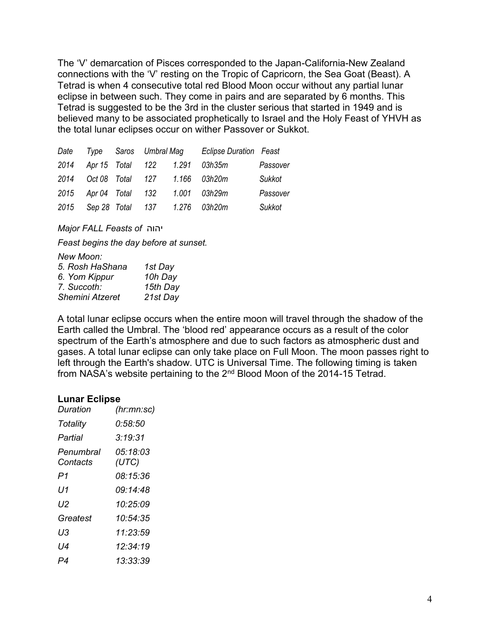The 'V' demarcation of Pisces corresponded to the Japan-California-New Zealand connections with the 'V' resting on the Tropic of Capricorn, the Sea Goat (Beast). A Tetrad is when 4 consecutive total red Blood Moon occur without any partial lunar eclipse in between such. They come in pairs and are separated by 6 months. This Tetrad is suggested to be the 3rd in the cluster serious that started in 1949 and is believed many to be associated prophetically to Israel and the Holy Feast of YHVH as the total lunar eclipses occur on wither Passover or Sukkot.

| Date Type Saros Umbral Mag |  | <b>Eclipse Duration Feast</b>      |          |
|----------------------------|--|------------------------------------|----------|
|                            |  | 2014 Apr 15 Total 122 1.291 03h35m | Passover |
|                            |  | 2014 Oct 08 Total 127 1.166 03h20m | Sukkot   |
|                            |  | 2015 Apr 04 Total 132 1.001 03h29m | Passover |
|                            |  | 2015 Sep 28 Total 137 1.276 03h20m | Sukkot   |

*Major FALL Feasts of* יהוה

*Feast begins the day before at sunset.*

*New Moon:* 

| 5. Rosh HaShana        | 1st Day  |
|------------------------|----------|
| 6. Yom Kippur          | 10h Day  |
| 7. Succoth:            | 15th Day |
| <b>Shemini Atzeret</b> | 21st Day |
|                        |          |

A total lunar eclipse occurs when the entire moon will travel through the shadow of the Earth called the Umbral. The 'blood red' appearance occurs as a result of the color spectrum of the Earth's atmosphere and due to such factors as atmospheric dust and gases. A total lunar eclipse can only take place on Full Moon. The moon passes right to left through the Earth's shadow. UTC is Universal Time. The following timing is taken from NASA's website pertaining to the  $2<sup>nd</sup>$  Blood Moon of the 2014-15 Tetrad.

### **Lunar Eclipse**

| Duration              | (hr:mn:sc)        |  |  |
|-----------------------|-------------------|--|--|
| Totality              | 0:58:50           |  |  |
| Partial               | 3:19:31           |  |  |
| Penumbral<br>Contacts | 05:18:03<br>(UTC) |  |  |
| P1                    | 08:15:36          |  |  |
| U1                    | 09 14 48          |  |  |
| IJ2                   | 10:25:09          |  |  |
| Greatest              | 10:54:35          |  |  |
| UЗ                    | 11.23.59          |  |  |
| l J4                  | 12.34.19          |  |  |
| P4                    | 13:33:39          |  |  |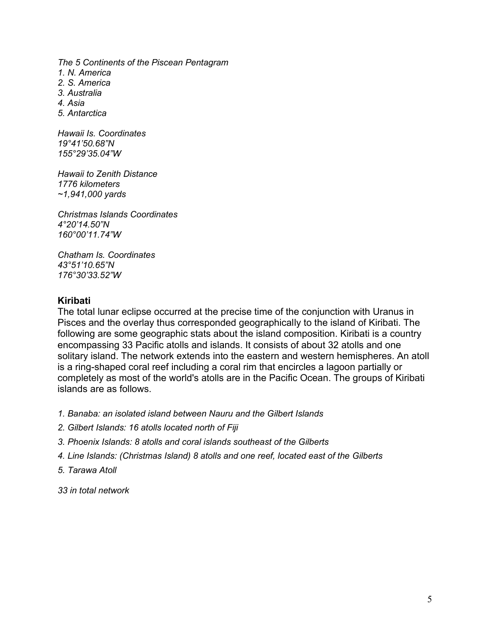*The 5 Continents of the Piscean Pentagram 1. N. America 2. S. America 3. Australia 4. Asia 5. Antarctica Hawaii Is. Coordinates 19°41'50.68"N 155°29'35.04"W*

*Hawaii to Zenith Distance 1776 kilometers ~1,941,000 yards*

*Christmas Islands Coordinates 4°20'14.50"N 160°00'11.74"W*

*Chatham Is. Coordinates 43°51'10.65"N 176°30'33.52"W*

## **Kiribati**

The total lunar eclipse occurred at the precise time of the conjunction with Uranus in Pisces and the overlay thus corresponded geographically to the island of Kiribati. The following are some geographic stats about the island composition. Kiribati is a country encompassing 33 Pacific atolls and islands. It consists of about 32 atolls and one solitary island. The network extends into the eastern and western hemispheres. An atoll is a ring-shaped coral reef including a coral rim that encircles a lagoon partially or completely as most of the world's atolls are in the Pacific Ocean. The groups of Kiribati islands are as follows.

- *1. Banaba: an isolated island between Nauru and the Gilbert Islands*
- *2. Gilbert Islands: 16 atolls located north of Fiji*
- *3. Phoenix Islands: 8 atolls and coral islands southeast of the Gilberts*
- *4. Line Islands: (Christmas Island) 8 atolls and one reef, located east of the Gilberts*
- *5. Tarawa Atoll*

*33 in total network*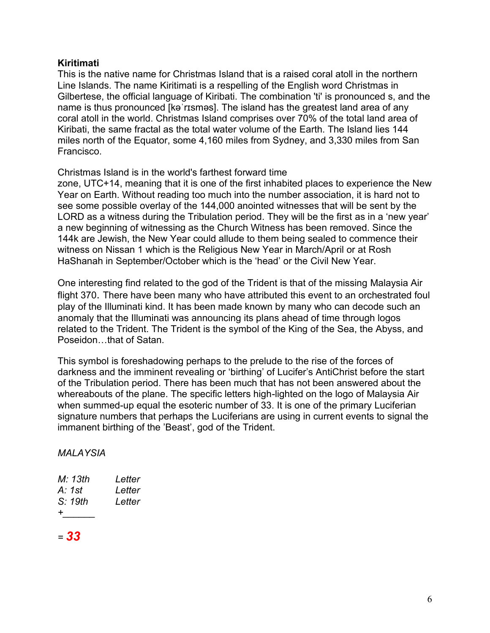# **Kiritimati**

This is the native name for Christmas Island that is a raised coral atoll in the northern Line Islands. The name Kiritimati is a respelling of the English word Christmas in Gilbertese, the official language of Kiribati. The combination 'ti' is pronounced s, and the name is thus pronounced [kəˈrɪsməs]. The island has the greatest land area of any coral atoll in the world. Christmas Island comprises over 70% of the total land area of Kiribati, the same fractal as the total water volume of the Earth. The Island lies 144 miles north of the Equator, some 4,160 miles from Sydney, and 3,330 miles from San Francisco.

Christmas Island is in the world's farthest forward time

zone, UTC+14, meaning that it is one of the first inhabited places to experience the New Year on Earth. Without reading too much into the number association, it is hard not to see some possible overlay of the 144,000 anointed witnesses that will be sent by the LORD as a witness during the Tribulation period. They will be the first as in a 'new year' a new beginning of witnessing as the Church Witness has been removed. Since the 144k are Jewish, the New Year could allude to them being sealed to commence their witness on Nissan 1 which is the Religious New Year in March/April or at Rosh HaShanah in September/October which is the 'head' or the Civil New Year.

One interesting find related to the god of the Trident is that of the missing Malaysia Air flight 370. There have been many who have attributed this event to an orchestrated foul play of the Illuminati kind. It has been made known by many who can decode such an anomaly that the Illuminati was announcing its plans ahead of time through logos related to the Trident. The Trident is the symbol of the King of the Sea, the Abyss, and Poseidon…that of Satan.

This symbol is foreshadowing perhaps to the prelude to the rise of the forces of darkness and the imminent revealing or 'birthing' of Lucifer's AntiChrist before the start of the Tribulation period. There has been much that has not been answered about the whereabouts of the plane. The specific letters high-lighted on the logo of Malaysia Air when summed-up equal the esoteric number of 33. It is one of the primary Luciferian signature numbers that perhaps the Luciferians are using in current events to signal the immanent birthing of the 'Beast', god of the Trident.

# *MALAYSIA*

| Letter<br>Letter<br>Letter |
|----------------------------|
|                            |
|                            |

*= 33*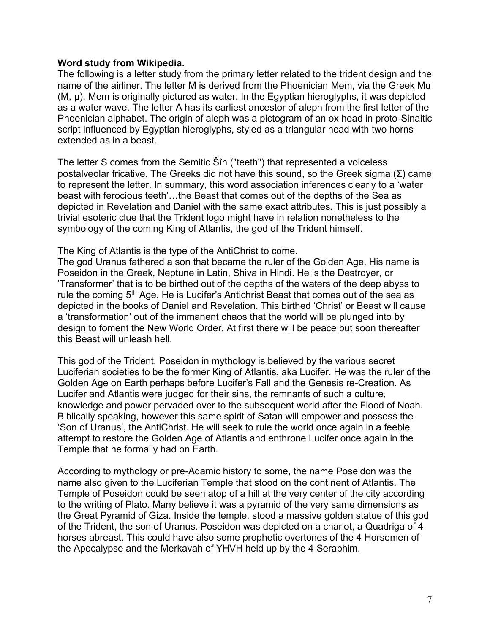## **Word study from Wikipedia.**

The following is a letter study from the primary letter related to the trident design and the name of the airliner. The letter M is derived from the Phoenician Mem, via the Greek Mu (Μ, μ). Mem is originally pictured as water. In the Egyptian hieroglyphs, it was depicted as a water wave. The letter A has its earliest ancestor of aleph from the first letter of the Phoenician alphabet. The origin of aleph was a pictogram of an ox head in proto-Sinaitic script influenced by Egyptian hieroglyphs, styled as a triangular head with two horns extended as in a beast.

The letter S comes from the Semitic Šîn ("teeth") that represented a voiceless postalveolar fricative. The Greeks did not have this sound, so the Greek sigma (Σ) came to represent the letter. In summary, this word association inferences clearly to a 'water beast with ferocious teeth'…the Beast that comes out of the depths of the Sea as depicted in Revelation and Daniel with the same exact attributes. This is just possibly a trivial esoteric clue that the Trident logo might have in relation nonetheless to the symbology of the coming King of Atlantis, the god of the Trident himself.

The King of Atlantis is the type of the AntiChrist to come.

The god Uranus fathered a son that became the ruler of the Golden Age. His name is Poseidon in the Greek, Neptune in Latin, Shiva in Hindi. He is the Destroyer, or 'Transformer' that is to be birthed out of the depths of the waters of the deep abyss to rule the coming 5<sup>th</sup> Age. He is Lucifer's Antichrist Beast that comes out of the sea as depicted in the books of Daniel and Revelation. This birthed 'Christ' or Beast will cause a 'transformation' out of the immanent chaos that the world will be plunged into by design to foment the New World Order. At first there will be peace but soon thereafter this Beast will unleash hell.

This god of the Trident, Poseidon in mythology is believed by the various secret Luciferian societies to be the former King of Atlantis, aka Lucifer. He was the ruler of the Golden Age on Earth perhaps before Lucifer's Fall and the Genesis re-Creation. As Lucifer and Atlantis were judged for their sins, the remnants of such a culture, knowledge and power pervaded over to the subsequent world after the Flood of Noah. Biblically speaking, however this same spirit of Satan will empower and possess the 'Son of Uranus', the AntiChrist. He will seek to rule the world once again in a feeble attempt to restore the Golden Age of Atlantis and enthrone Lucifer once again in the Temple that he formally had on Earth.

According to mythology or pre-Adamic history to some, the name Poseidon was the name also given to the Luciferian Temple that stood on the continent of Atlantis. The Temple of Poseidon could be seen atop of a hill at the very center of the city according to the writing of Plato. Many believe it was a pyramid of the very same dimensions as the Great Pyramid of Giza. Inside the temple, stood a massive golden statue of this god of the Trident, the son of Uranus. Poseidon was depicted on a chariot, a Quadriga of 4 horses abreast. This could have also some prophetic overtones of the 4 Horsemen of the Apocalypse and the Merkavah of YHVH held up by the 4 Seraphim.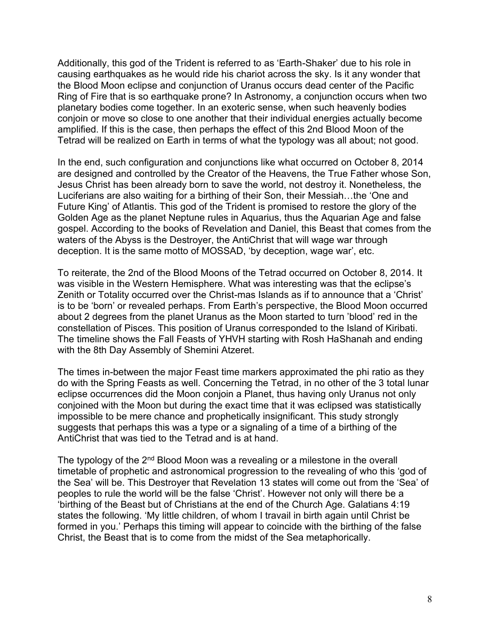Additionally, this god of the Trident is referred to as 'Earth-Shaker' due to his role in causing earthquakes as he would ride his chariot across the sky. Is it any wonder that the Blood Moon eclipse and conjunction of Uranus occurs dead center of the Pacific Ring of Fire that is so earthquake prone? In Astronomy, a conjunction occurs when two planetary bodies come together. In an exoteric sense, when such heavenly bodies conjoin or move so close to one another that their individual energies actually become amplified. If this is the case, then perhaps the effect of this 2nd Blood Moon of the Tetrad will be realized on Earth in terms of what the typology was all about; not good.

In the end, such configuration and conjunctions like what occurred on October 8, 2014 are designed and controlled by the Creator of the Heavens, the True Father whose Son, Jesus Christ has been already born to save the world, not destroy it. Nonetheless, the Luciferians are also waiting for a birthing of their Son, their Messiah…the 'One and Future King' of Atlantis. This god of the Trident is promised to restore the glory of the Golden Age as the planet Neptune rules in Aquarius, thus the Aquarian Age and false gospel. According to the books of Revelation and Daniel, this Beast that comes from the waters of the Abyss is the Destroyer, the AntiChrist that will wage war through deception. It is the same motto of MOSSAD, 'by deception, wage war', etc.

To reiterate, the 2nd of the Blood Moons of the Tetrad occurred on October 8, 2014. It was visible in the Western Hemisphere. What was interesting was that the eclipse's Zenith or Totality occurred over the Christ-mas Islands as if to announce that a 'Christ' is to be 'born' or revealed perhaps. From Earth's perspective, the Blood Moon occurred about 2 degrees from the planet Uranus as the Moon started to turn 'blood' red in the constellation of Pisces. This position of Uranus corresponded to the Island of Kiribati. The timeline shows the Fall Feasts of YHVH starting with Rosh HaShanah and ending with the 8th Day Assembly of Shemini Atzeret.

The times in-between the major Feast time markers approximated the phi ratio as they do with the Spring Feasts as well. Concerning the Tetrad, in no other of the 3 total lunar eclipse occurrences did the Moon conjoin a Planet, thus having only Uranus not only conjoined with the Moon but during the exact time that it was eclipsed was statistically impossible to be mere chance and prophetically insignificant. This study strongly suggests that perhaps this was a type or a signaling of a time of a birthing of the AntiChrist that was tied to the Tetrad and is at hand.

The typology of the 2<sup>nd</sup> Blood Moon was a revealing or a milestone in the overall timetable of prophetic and astronomical progression to the revealing of who this 'god of the Sea' will be. This Destroyer that Revelation 13 states will come out from the 'Sea' of peoples to rule the world will be the false 'Christ'. However not only will there be a 'birthing of the Beast but of Christians at the end of the Church Age. Galatians 4:19 states the following. 'My little children, of whom I travail in birth again until Christ be formed in you.' Perhaps this timing will appear to coincide with the birthing of the false Christ, the Beast that is to come from the midst of the Sea metaphorically.